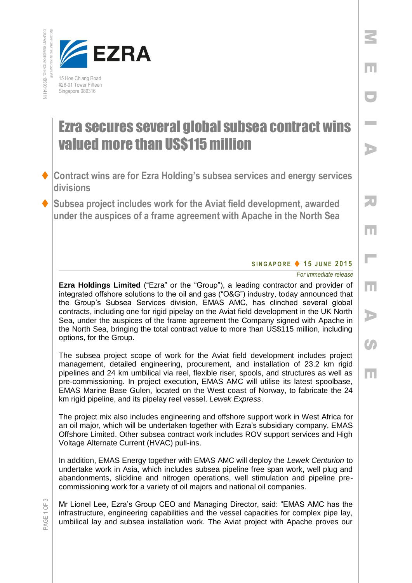



## Ezra secures several global subsea contract wins valued more than US\$115 million

- **Contract wins are for Ezra Holding's subsea services and energy services divisions**
- **Subsea project includes work for the Aviat field development, awarded under the auspices of a frame agreement with Apache in the North Sea**

## **S I N G A P O R E 1 5 J U N E 201 5**

## *For immediate release*

M

E

D

**Inches** 

A

R

E

 $\overline{\phantom{a}}$ 

E

A

 $\mathcal{C}$ 

E

**Ezra Holdings Limited** ("Ezra" or the "Group"), a leading contractor and provider of integrated offshore solutions to the oil and gas ("O&G") industry, today announced that the Group's Subsea Services division, EMAS AMC, has clinched several global contracts, including one for rigid pipelay on the Aviat field development in the UK North Sea, under the auspices of the frame agreement the Company signed with Apache in the North Sea, bringing the total contract value to more than US\$115 million, including options, for the Group.

The subsea project scope of work for the Aviat field development includes project management, detailed engineering, procurement, and installation of 23.2 km rigid pipelines and 24 km umbilical via reel, flexible riser, spools, and structures as well as pre-commissioning. In project execution, EMAS AMC will utilise its latest spoolbase, EMAS Marine Base Gulen, located on the West coast of Norway, to fabricate the 24 km rigid pipeline, and its pipelay reel vessel, *Lewek Express*.

The project mix also includes engineering and offshore support work in West Africa for an oil major, which will be undertaken together with Ezra's subsidiary company, EMAS Offshore Limited. Other subsea contract work includes ROV support services and High Voltage Alternate Current (HVAC) pull-ins.

In addition, EMAS Energy together with EMAS AMC will deploy the *Lewek Centurion* to undertake work in Asia, which includes subsea pipeline free span work, well plug and abandonments, slickline and nitrogen operations, well stimulation and pipeline precommissioning work for a variety of oil majors and national oil companies.

Mr Lionel Lee, Ezra's Group CEO and Managing Director, said: "EMAS AMC has the infrastructure, engineering capabilities and the vessel capacities for complex pipe lay, umbilical lay and subsea installation work. The Aviat project with Apache proves our

PAGE 1 OF 3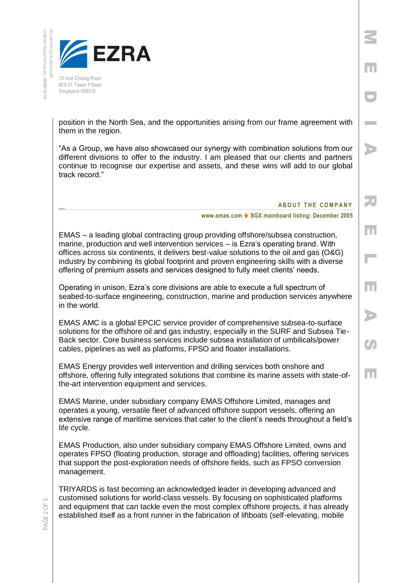INCORPORATED IN SINGAPORE



15 Hoe Chiang Road #28-01 Tower Fifteen Singapore 089316

position in the North Sea, and the opportunities arising from our frame agreement with them in the region.

"As a Group, we have also showcased our synergy with combination solutions from our different divisions to offer to the industry. I am pleased that our clients and partners continue to recognise our expertise and assets, and these wins will add to our global track record."

**ABOUT THE COMPANY** 

M

E

D

I

A

R

E

L

E

A

 $\mathcal{G}_I$ 

E

**www.emas.com ♦ SGX mainboard listing: December 2005** 

EMAS – a leading global contracting group providing offshore/subsea construction, marine, production and well intervention services – is Ezra's operating brand. With offices across six continents, it delivers best-value solutions to the oil and gas (O&G) industry by combining its global footprint and proven engineering skills with a diverse offering of premium assets and services designed to fully meet clients' needs.

Operating in unison, Ezra's core divisions are able to execute a full spectrum of seabed-to-surface engineering, construction, marine and production services anywhere in the world.

EMAS AMC is a global EPCIC service provider of comprehensive subsea-to-surface solutions for the offshore oil and gas industry, especially in the SURF and Subsea Tie-Back sector. Core business services include subsea installation of umbilicals/power cables, pipelines as well as platforms, FPSO and floater installations.

EMAS Energy provides well intervention and drilling services both onshore and offshore, offering fully integrated solutions that combine its marine assets with state-ofthe-art intervention equipment and services.

EMAS Marine, under subsidiary company EMAS Offshore Limited, manages and operates a young, versatile fleet of advanced offshore support vessels, offering an extensive range of maritime services that cater to the client's needs throughout a field's life cycle.

EMAS Production, also under subsidiary company EMAS Offshore Limited, owns and operates FPSO (floating production, storage and offloading) facilities, offering services that support the post-exploration needs of offshore fields, such as FPSO conversion management.

TRIYARDS is fast becoming an acknowledged leader in developing advanced and customised solutions for world-class vessels. By focusing on sophisticated platforms and equipment that can tackle even the most complex offshore projects, it has already established itself as a front runner in the fabrication of liftboats (self-elevating, mobile